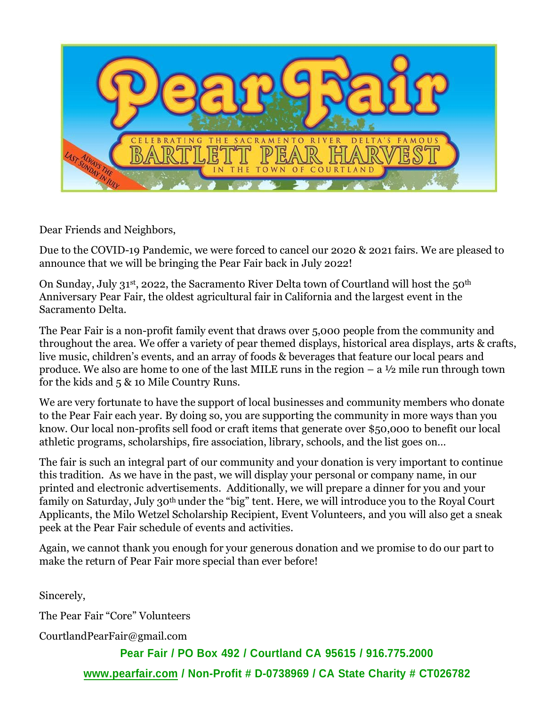

Dear Friends and Neighbors,

Due to the COVID-19 Pandemic, we were forced to cancel our 2020 & 2021 fairs. We are pleased to announce that we will be bringing the Pear Fair back in July 2022!

On Sunday, July 31<sup>st</sup>, 2022, the Sacramento River Delta town of Courtland will host the 50<sup>th</sup> Anniversary Pear Fair, the oldest agricultural fair in California and the largest event in the Sacramento Delta.

The Pear Fair is a non-profit family event that draws over 5,000 people from the community and throughout the area. We offer a variety of pear themed displays, historical area displays, arts & crafts, live music, children's events, and an array of foods & beverages that feature our local pears and produce. We also are home to one of the last MILE runs in the region  $- a \frac{1}{2}$  mile run through town for the kids and 5 & 10 Mile Country Runs.

We are very fortunate to have the support of local businesses and community members who donate to the Pear Fair each year. By doing so, you are supporting the community in more ways than you know. Our local non-profits sell food or craft items that generate over \$50,000 to benefit our local athletic programs, scholarships, fire association, library, schools, and the list goes on…

The fair is such an integral part of our community and your donation is very important to continue this tradition. As we have in the past, we will display your personal or company name, in our printed and electronic advertisements. Additionally, we will prepare a dinner for you and your family on Saturday, July 30th under the "big" tent. Here, we will introduce you to the Royal Court Applicants, the Milo Wetzel Scholarship Recipient, Event Volunteers, and you will also get a sneak peek at the Pear Fair schedule of events and activities.

Again, we cannot thank you enough for your generous donation and we promise to do our part to make the return of Pear Fair more special than ever before!

Sincerely,

The Pear Fair "Core" Volunteers

[CourtlandPearFair@gmail.com](mailto:CourtlandPearFair@gmail.com)

**Pear Fair / PO Box 492 / Courtland CA 95615 / 916.775.2000 [www.pearfair.com](http://www.pearfair.com/) / Non-Profit # D-0738969 / CA State Charity # CT026782**